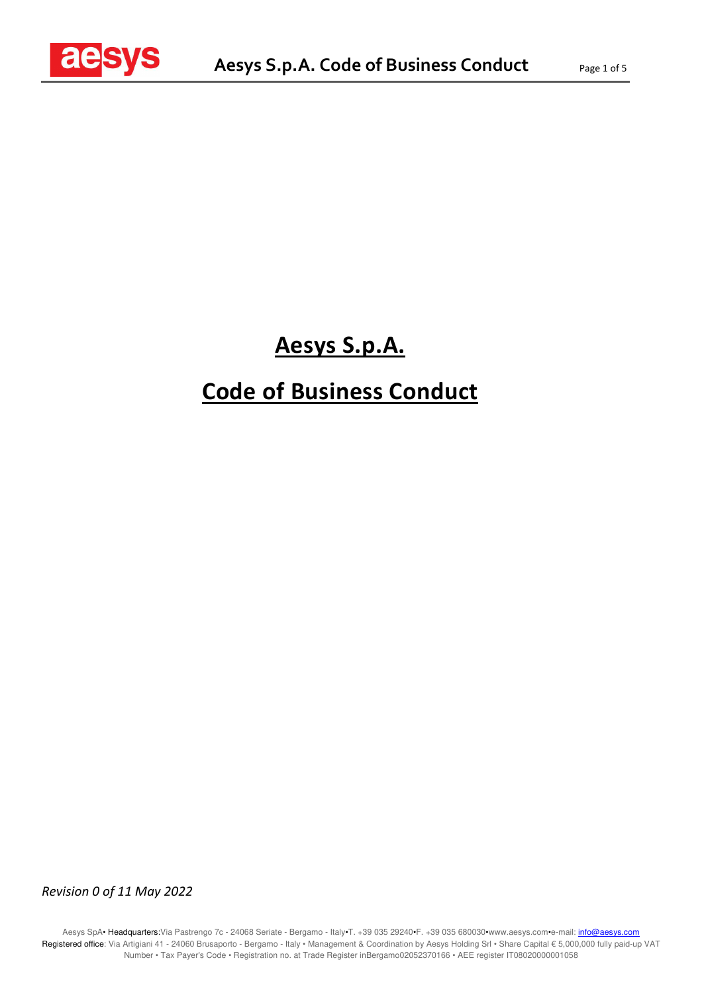

## **Aesys S.p.A.**

# **Code of Business Conduct**

*Revision 0 of 11 May 2022*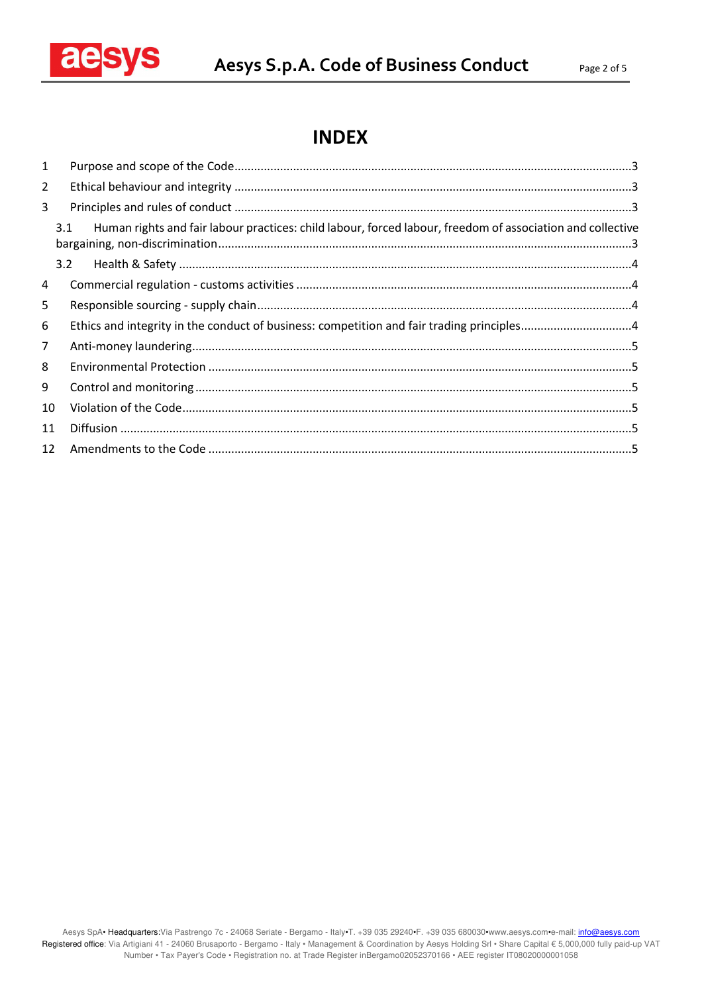

## **INDEX**

| $\mathbf{1}$   |                                                                                                                   |  |
|----------------|-------------------------------------------------------------------------------------------------------------------|--|
| $\overline{2}$ |                                                                                                                   |  |
| 3              |                                                                                                                   |  |
|                | 3.1<br>Human rights and fair labour practices: child labour, forced labour, freedom of association and collective |  |
|                | 3.2                                                                                                               |  |
| 4              |                                                                                                                   |  |
| 5              |                                                                                                                   |  |
| 6              |                                                                                                                   |  |
| $\overline{7}$ |                                                                                                                   |  |
| 8              |                                                                                                                   |  |
| 9              |                                                                                                                   |  |
| 10             |                                                                                                                   |  |
| 11             |                                                                                                                   |  |
| 12             |                                                                                                                   |  |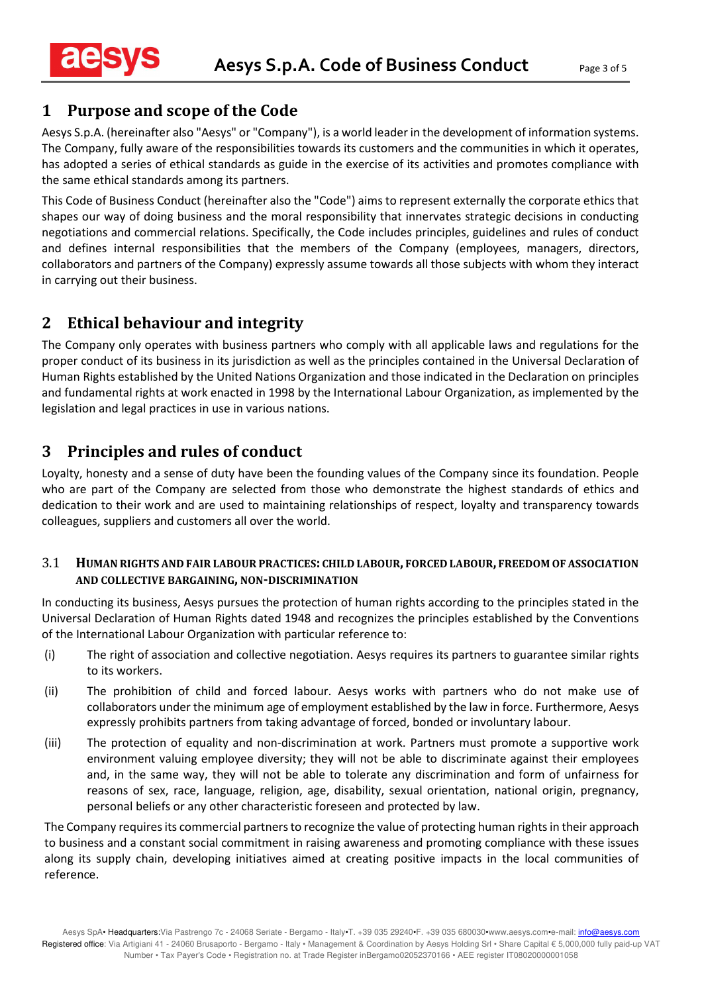#### **1 Purpose and scope of the Code**

Aesys S.p.A. (hereinafter also "Aesys" or "Company"), is a world leader in the development of information systems. The Company, fully aware of the responsibilities towards its customers and the communities in which it operates, has adopted a series of ethical standards as guide in the exercise of its activities and promotes compliance with the same ethical standards among its partners.

This Code of Business Conduct (hereinafter also the "Code") aims to represent externally the corporate ethics that shapes our way of doing business and the moral responsibility that innervates strategic decisions in conducting negotiations and commercial relations. Specifically, the Code includes principles, guidelines and rules of conduct and defines internal responsibilities that the members of the Company (employees, managers, directors, collaborators and partners of the Company) expressly assume towards all those subjects with whom they interact in carrying out their business.

### **2 Ethical behaviour and integrity**

The Company only operates with business partners who comply with all applicable laws and regulations for the proper conduct of its business in its jurisdiction as well as the principles contained in the Universal Declaration of Human Rights established by the United Nations Organization and those indicated in the Declaration on principles and fundamental rights at work enacted in 1998 by the International Labour Organization, as implemented by the legislation and legal practices in use in various nations.

### **3 Principles and rules of conduct**

Loyalty, honesty and a sense of duty have been the founding values of the Company since its foundation. People who are part of the Company are selected from those who demonstrate the highest standards of ethics and dedication to their work and are used to maintaining relationships of respect, loyalty and transparency towards colleagues, suppliers and customers all over the world.

#### 3.1 **HUMAN RIGHTS AND FAIR LABOUR PRACTICES: CHILD LABOUR, FORCED LABOUR, FREEDOM OF ASSOCIATION AND COLLECTIVE BARGAINING, NON-DISCRIMINATION**

In conducting its business, Aesys pursues the protection of human rights according to the principles stated in the Universal Declaration of Human Rights dated 1948 and recognizes the principles established by the Conventions of the International Labour Organization with particular reference to:

- (i) The right of association and collective negotiation. Aesys requires its partners to guarantee similar rights to its workers.
- (ii) The prohibition of child and forced labour. Aesys works with partners who do not make use of collaborators under the minimum age of employment established by the law in force. Furthermore, Aesys expressly prohibits partners from taking advantage of forced, bonded or involuntary labour.
- (iii) The protection of equality and non-discrimination at work. Partners must promote a supportive work environment valuing employee diversity; they will not be able to discriminate against their employees and, in the same way, they will not be able to tolerate any discrimination and form of unfairness for reasons of sex, race, language, religion, age, disability, sexual orientation, national origin, pregnancy, personal beliefs or any other characteristic foreseen and protected by law.

The Company requires its commercial partners to recognize the value of protecting human rights in their approach to business and a constant social commitment in raising awareness and promoting compliance with these issues along its supply chain, developing initiatives aimed at creating positive impacts in the local communities of reference.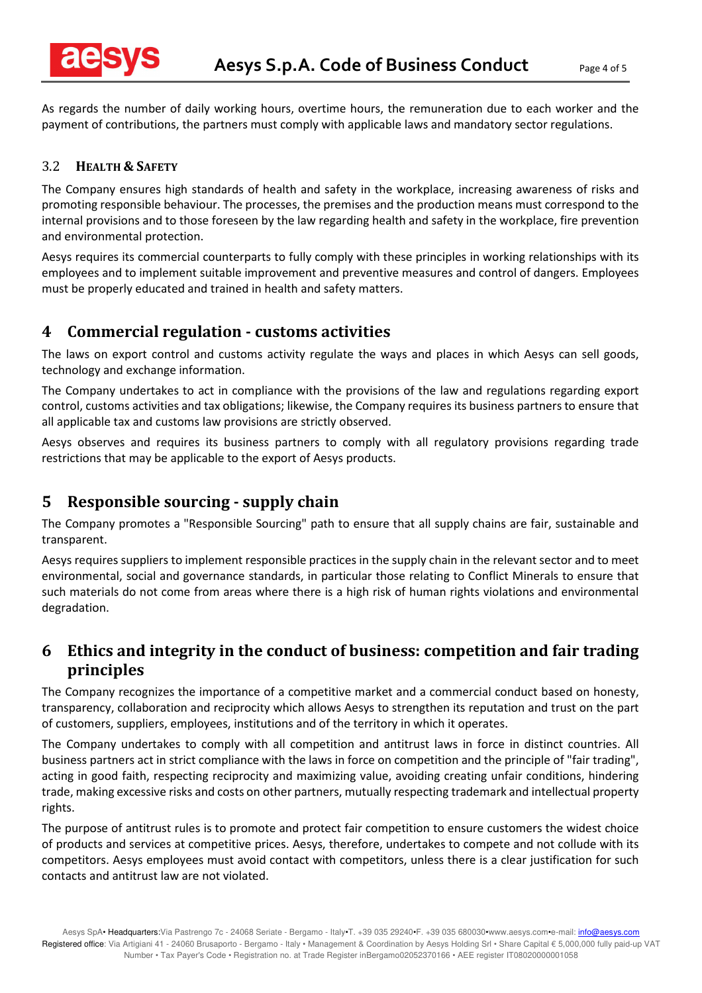

As regards the number of daily working hours, overtime hours, the remuneration due to each worker and the payment of contributions, the partners must comply with applicable laws and mandatory sector regulations.

#### 3.2 **HEALTH & SAFETY**

The Company ensures high standards of health and safety in the workplace, increasing awareness of risks and promoting responsible behaviour. The processes, the premises and the production means must correspond to the internal provisions and to those foreseen by the law regarding health and safety in the workplace, fire prevention and environmental protection.

Aesys requires its commercial counterparts to fully comply with these principles in working relationships with its employees and to implement suitable improvement and preventive measures and control of dangers. Employees must be properly educated and trained in health and safety matters.

#### **4 Commercial regulation - customs activities**

The laws on export control and customs activity regulate the ways and places in which Aesys can sell goods, technology and exchange information.

The Company undertakes to act in compliance with the provisions of the law and regulations regarding export control, customs activities and tax obligations; likewise, the Company requires its business partners to ensure that all applicable tax and customs law provisions are strictly observed.

Aesys observes and requires its business partners to comply with all regulatory provisions regarding trade restrictions that may be applicable to the export of Aesys products.

#### **5 Responsible sourcing - supply chain**

The Company promotes a "Responsible Sourcing" path to ensure that all supply chains are fair, sustainable and transparent.

Aesys requires suppliers to implement responsible practices in the supply chain in the relevant sector and to meet environmental, social and governance standards, in particular those relating to Conflict Minerals to ensure that such materials do not come from areas where there is a high risk of human rights violations and environmental degradation.

### **6 Ethics and integrity in the conduct of business: competition and fair trading principles**

The Company recognizes the importance of a competitive market and a commercial conduct based on honesty, transparency, collaboration and reciprocity which allows Aesys to strengthen its reputation and trust on the part of customers, suppliers, employees, institutions and of the territory in which it operates.

The Company undertakes to comply with all competition and antitrust laws in force in distinct countries. All business partners act in strict compliance with the laws in force on competition and the principle of "fair trading", acting in good faith, respecting reciprocity and maximizing value, avoiding creating unfair conditions, hindering trade, making excessive risks and costs on other partners, mutually respecting trademark and intellectual property rights.

The purpose of antitrust rules is to promote and protect fair competition to ensure customers the widest choice of products and services at competitive prices. Aesys, therefore, undertakes to compete and not collude with its competitors. Aesys employees must avoid contact with competitors, unless there is a clear justification for such contacts and antitrust law are not violated.